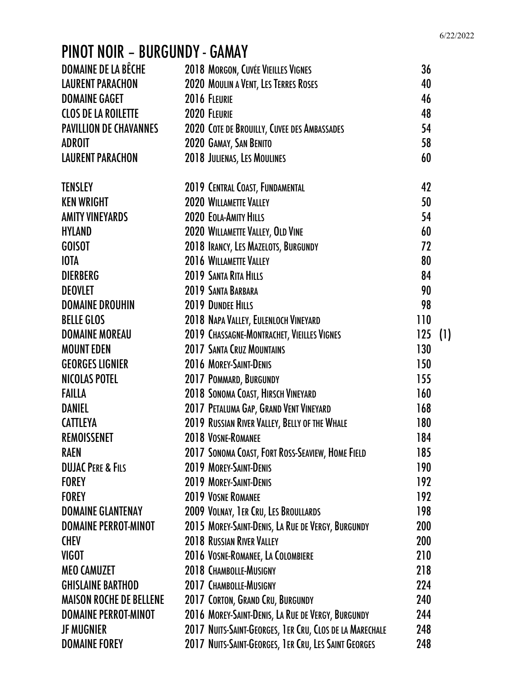# PINOT NOIR – BURGUNDY - GAMAY

| DOMAINE DE LA BÊCHE            | 2018 MORGON, CUVÉE VIEILLES VIGNES                      | 36  |     |
|--------------------------------|---------------------------------------------------------|-----|-----|
| <b>LAURENT PARACHON</b>        | 2020 MOULIN A VENT, LES TERRES ROSES                    | 40  |     |
| <b>DOMAINE GAGET</b>           | 2016 FLEURIE                                            | 46  |     |
| <b>CLOS DE LA ROILETTE</b>     | 2020 FLEURIE                                            | 48  |     |
| <b>PAVILLION DE CHAVANNES</b>  | 2020 COTE DE BROUILLY, CUVEE DES AMBASSADES             | 54  |     |
| <b>ADROIT</b>                  | 2020 GAMAY, SAN BENITO                                  | 58  |     |
| <b>LAURENT PARACHON</b>        | 2018 JULIENAS, LES MOULINES                             | 60  |     |
| <b>TENSLEY</b>                 | 2019 CENTRAL COAST, FUNDAMENTAL                         | 42  |     |
| <b>KEN WRIGHT</b>              | 2020 WILLAMETTE VALLEY                                  | 50  |     |
| <b>AMITY VINEYARDS</b>         | 2020 EOLA-AMITY HILLS                                   | 54  |     |
| <b>HYLAND</b>                  | 2020 WILLAMETTE VALLEY, OLD VINE                        | 60  |     |
| <b>GOISOT</b>                  | 2018 IRANCY, LES MAZELOTS, BURGUNDY                     | 72  |     |
| <b>IOTA</b>                    | 2016 WILLAMETTE VALLEY                                  | 80  |     |
| <b>DIERBERG</b>                | 2019 SANTA RITA HILLS                                   | 84  |     |
| <b>DEOVLET</b>                 | 2019 SANTA BARBARA                                      | 90  |     |
| <b>DOMAINE DROUHIN</b>         | <b>2019 DUNDEE HILLS</b>                                | 98  |     |
| <b>BELLE GLOS</b>              | 2018 NAPA VALLEY, EULENLOCH VINEYARD                    | 110 |     |
| <b>DOMAINE MOREAU</b>          | 2019 CHASSAGNE-MONTRACHET, VIEILLES VIGNES              | 125 | (1) |
| <b>MOUNT EDEN</b>              | <b>2017 SANTA CRUZ MOUNTAINS</b>                        | 130 |     |
| <b>GEORGES LIGNIER</b>         | 2016 MOREY-SAINT-DENIS                                  | 150 |     |
| <b>NICOLAS POTEL</b>           | 2017 POMMARD, BURGUNDY                                  | 155 |     |
| <b>FAILLA</b>                  | 2018 SONOMA COAST, HIRSCH VINEYARD                      | 160 |     |
| <b>DANIEL</b>                  | 2017 PETALUMA GAP, GRAND VENT VINEYARD                  | 168 |     |
| <b>CATTLEYA</b>                | 2019 RUSSIAN RIVER VALLEY, BELLY OF THE WHALE           | 180 |     |
| <b>REMOISSENET</b>             | 2018 VOSNE-ROMANEE                                      | 184 |     |
| <b>RAEN</b>                    | 2017 SONOMA COAST, FORT ROSS-SEAVIEW, HOME FIELD        | 185 |     |
| <b>DUJAC PERE &amp; FILS</b>   | 2019 MOREY-SAINT-DENIS                                  | 190 |     |
| <b>FOREY</b>                   | 2019 MOREY-SAINT-DENIS                                  | 192 |     |
| <b>FOREY</b>                   | 2019 VOSNE ROMANEE                                      | 192 |     |
| <b>DOMAINE GLANTENAY</b>       | 2009 VOLNAY, 1ER CRU, LES BROULLARDS                    | 198 |     |
| <b>DOMAINE PERROT-MINOT</b>    | 2015 MOREY-SAINT-DENIS, LA RUE DE VERGY, BURGUNDY       | 200 |     |
| <b>CHEV</b>                    | 2018 RUSSIAN RIVER VALLEY                               | 200 |     |
| <b>VIGOT</b>                   | 2016 VOSNE-ROMANEE, LA COLOMBIERE                       | 210 |     |
| <b>MEO CAMUZET</b>             | 2018 CHAMBOLLE-MUSIGNY                                  | 218 |     |
| <b>GHISLAINE BARTHOD</b>       | 2017 CHAMBOLLE-MUSIGNY                                  | 224 |     |
| <b>MAISON ROCHE DE BELLENE</b> | 2017 CORTON, GRAND CRU, BURGUNDY                        | 240 |     |
| <b>DOMAINE PERROT-MINOT</b>    | 2016 MOREY-SAINT-DENIS, LA RUE DE VERGY, BURGUNDY       | 244 |     |
| <b>JF MUGNIER</b>              | 2017 NUITS-SAINT-GEORGES, 1ER CRU, CLOS DE LA MARECHALE | 248 |     |
| <b>DOMAINE FOREY</b>           | 2017 NUITS-SAINT-GEORGES, 1ER CRU, LES SAINT GEORGES    | 248 |     |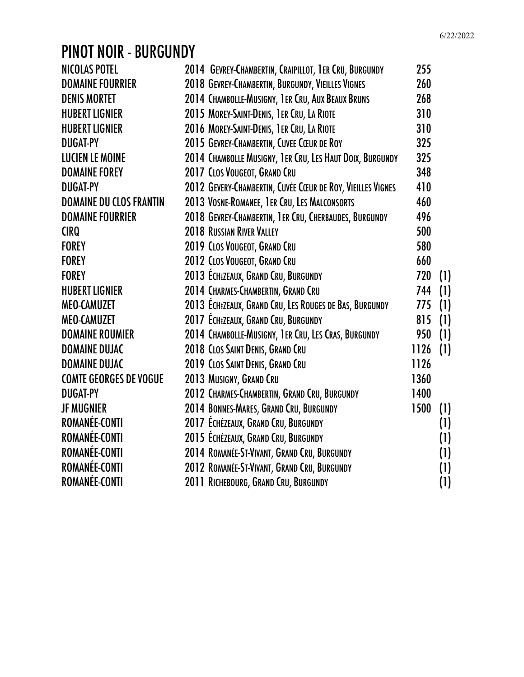## PINOT NOIR - BURGUNDY

| <b>NICOLAS POTEL</b>           | 2014 GEVREY-CHAMBERTIN, CRAIPILLOT, 1ER CRU, BURGUNDY      | 255  |     |
|--------------------------------|------------------------------------------------------------|------|-----|
| <b>DOMAINE FOURRIER</b>        | 2018 GEVREY-CHAMBERTIN, BURGUNDY, VIEILLES VIGNES          | 260  |     |
| <b>DENIS MORTET</b>            | 2014 CHAMBOLLE-MUSIGNY, 1ER CRU, AUX BEAUX BRUNS           | 268  |     |
| <b>HUBERT LIGNIER</b>          | 2015 MOREY-SAINT-DENIS, 1ER CRU, LA RIOTE                  | 310  |     |
| <b>HUBERT LIGNIER</b>          | 2016 MOREY-SAINT-DENIS, 1ER CRU, LA RIOTE                  | 310  |     |
| <b>DUGAT-PY</b>                | 2015 GEVREY-CHAMBERTIN, CUVEE CŒUR DE ROY                  | 325  |     |
| <b>LUCIEN LE MOINE</b>         | 2014 CHAMBOLLE MUSIGNY, 1ER CRU, LES HAUT DOIX, BURGUNDY   | 325  |     |
| <b>DOMAINE FOREY</b>           | 2017 CLOS VOUGEOT, GRAND CRU                               | 348  |     |
| <b>DUGAT-PY</b>                | 2012 GEVERY-CHAMBERTIN, CUVÉE CŒUR DE ROY, VIEILLES VIGNES | 410  |     |
| <b>DOMAINE DU CLOS FRANTIN</b> | 2013 VOSNE-ROMANEE, 1ER CRU, LES MALCONSORTS               | 460  |     |
| <b>DOMAINE FOURRIER</b>        | 2018 GEVREY-CHAMBERTIN, 1ER CRU, CHERBAUDES, BURGUNDY      | 496  |     |
| <b>CIRQ</b>                    | 2018 RUSSIAN RIVER VALLEY                                  | 500  |     |
| <b>FOREY</b>                   | 2019 CLOS VOUGEOT, GRAND CRU                               | 580  |     |
| <b>FOREY</b>                   | 2012 CLOS VOUGEOT, GRAND CRU                               | 660  |     |
| <b>FOREY</b>                   | 2013 ÉCHÉZEAUX, GRAND CRU, BURGUNDY                        | 720  | (1) |
| <b>HUBERT LIGNIER</b>          | 2014 CHARMES-CHAMBERTIN, GRAND CRU                         | 744  | (1) |
| <b>MEO-CAMUZET</b>             | 2013 ECHÉZEAUX, GRAND CRU, LES ROUGES DE BAS, BURGUNDY     | 775  | (1) |
| <b>MEO-CAMUZET</b>             | 2017 ÉCHÉZEAUX, GRAND CRU, BURGUNDY                        | 815  | (1) |
| <b>DOMAINE ROUMIER</b>         | 2014 CHAMBOLLE-MUSIGNY, 1ER CRU, LES CRAS, BURGUNDY        | 950  | (1) |
| <b>DOMAINE DUJAC</b>           | 2018 CLOS SAINT DENIS, GRAND CRU                           | 1126 | (1) |
| <b>DOMAINE DUJAC</b>           | 2019 CLOS SAINT DENIS, GRAND CRU                           | 1126 |     |
| <b>COMTE GEORGES DE VOGUE</b>  | 2013 MUSIGNY, GRAND CRU                                    | 1360 |     |
| <b>DUGAT-PY</b>                | 2012 CHARMES-CHAMBERTIN, GRAND CRU, BURGUNDY               | 1400 |     |
| <b>JF MUGNIER</b>              | 2014 BONNES-MARES, GRAND CRU, BURGUNDY                     | 1500 | (1) |
| ROMANÉE-CONTI                  | 2017 ECHÉZEAUX, GRAND CRU, BURGUNDY                        |      | (1) |
| ROMANÉE-CONTI                  | 2015 ECHÉZEAUX, GRAND CRU, BURGUNDY                        |      | (1) |
| ROMANÉE-CONTI                  | 2014 ROMANÉE-ST-VIVANT, GRAND CRU, BURGUNDY                |      | (1) |
| ROMANÉE-CONTI                  | 2012 ROMANÉE-ST-VIVANT, GRAND CRU, BURGUNDY                |      | (1) |
| ROMANÉE-CONTI                  | 2011 RICHEBOURG, GRAND CRU, BURGUNDY                       |      | (1) |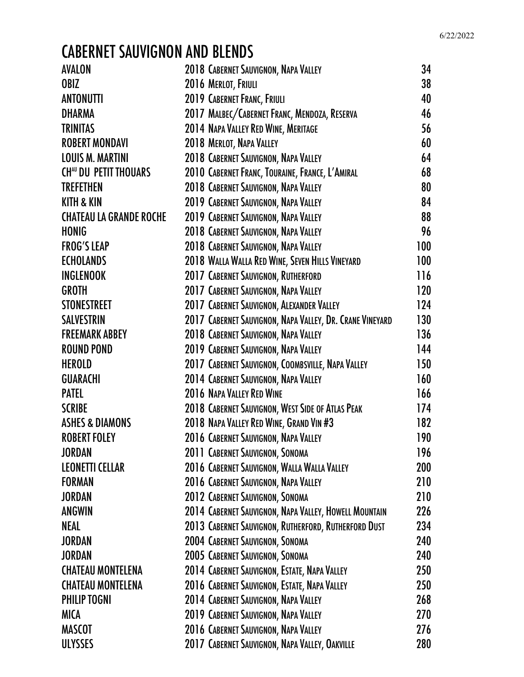# CABERNET SAUVIGNON AND BLENDS

| <b>AVALON</b>                  | 2018 CABERNET SAUVIGNON, NAPA VALLEY                     | 34  |
|--------------------------------|----------------------------------------------------------|-----|
| OBIZ                           | 2016 MERLOT, FRIULI                                      | 38  |
| <b>ANTONUTTI</b>               | 2019 CABERNET FRANC, FRIULI                              | 40  |
| <b>DHARMA</b>                  | 2017 MALBEC/CABERNET FRANC, MENDOZA, RESERVA             | 46  |
| <b>TRINITAS</b>                | 2014 NAPA VALLEY RED WINE, MERITAGE                      | 56  |
| <b>ROBERT MONDAVI</b>          | 2018 MERLOT, NAPA VALLEY                                 | 60  |
| <b>LOUIS M. MARTINI</b>        | 2018 CABERNET SAUVIGNON, NAPA VALLEY                     | 64  |
| <b>CHAU DU PETIT THOUARS</b>   | 2010 CABERNET FRANC, TOURAINE, FRANCE, L'AMIRAL          | 68  |
| <b>TREFETHEN</b>               | 2018 CABERNET SAUVIGNON, NAPA VALLEY                     | 80  |
| <b>KITH &amp; KIN</b>          | 2019 CABERNET SAUVIGNON, NAPA VALLEY                     | 84  |
| <b>CHATEAU LA GRANDE ROCHE</b> | 2019 CABERNET SAUVIGNON, NAPA VALLEY                     | 88  |
| <b>HONIG</b>                   | 2018 CABERNET SAUVIGNON, NAPA VALLEY                     | 96  |
| <b>FROG'S LEAP</b>             | 2018 CABERNET SAUVIGNON, NAPA VALLEY                     | 100 |
| <b>ECHOLANDS</b>               | 2018 WALLA WALLA RED WINE, SEVEN HILLS VINEYARD          | 100 |
| <b>INGLENOOK</b>               | 2017 CABERNET SAUVIGNON, RUTHERFORD                      | 116 |
| <b>GROTH</b>                   | 2017 CABERNET SAUVIGNON, NAPA VALLEY                     | 120 |
| <b>STONESTREET</b>             | 2017 CABERNET SAUVIGNON, ALEXANDER VALLEY                | 124 |
| <b>SALVESTRIN</b>              | 2017 CABERNET SAUVIGNON, NAPA VALLEY, DR. CRANE VINEYARD | 130 |
| <b>FREEMARK ABBEY</b>          | 2018 CABERNET SAUVIGNON, NAPA VALLEY                     | 136 |
| <b>ROUND POND</b>              | 2019 CABERNET SAUVIGNON, NAPA VALLEY                     | 144 |
| <b>HEROLD</b>                  | 2017 CABERNET SAUVIGNON, COOMBSVILLE, NAPA VALLEY        | 150 |
| <b>GUARACHI</b>                | 2014 CABERNET SAUVIGNON, NAPA VALLEY                     | 160 |
| <b>PATEL</b>                   | 2016 NAPA VALLEY RED WINE                                | 166 |
| <b>SCRIBE</b>                  | 2018 CABERNET SAUVIGNON, WEST SIDE OF ATLAS PEAK         | 174 |
| <b>ASHES &amp; DIAMONS</b>     | 2018 NAPA VALLEY RED WINE, GRAND VIN #3                  | 182 |
| <b>ROBERT FOLEY</b>            | 2016 CABERNET SAUVIGNON, NAPA VALLEY                     | 190 |
| <b>JORDAN</b>                  | 2011 CABERNET SAUVIGNON, SONOMA                          | 196 |
| <b>LEONETTI CELLAR</b>         | 2016 CABERNET SAUVIGNON, WALLA WALLA VALLEY              | 200 |
| <b>FORMAN</b>                  | 2016 CABERNET SAUVIGNON, NAPA VALLEY                     | 210 |
| <b>JORDAN</b>                  | 2012 CABERNET SAUVIGNON, SONOMA                          | 210 |
| <b>ANGWIN</b>                  | 2014 CABERNET SAUVIGNON, NAPA VALLEY, HOWELL MOUNTAIN    | 226 |
| NEAL                           | 2013 CABERNET SAUVIGNON, RUTHERFORD, RUTHERFORD DUST     | 234 |
| <b>JORDAN</b>                  | 2004 CABERNET SAUVIGNON, SONOMA                          | 240 |
| <b>JORDAN</b>                  | 2005 CABERNET SAUVIGNON, SONOMA                          | 240 |
| <b>CHATEAU MONTELENA</b>       | 2014 CABERNET SAUVIGNON, ESTATE, NAPA VALLEY             | 250 |
| <b>CHATEAU MONTELENA</b>       | 2016 CABERNET SAUVIGNON, ESTATE, NAPA VALLEY             | 250 |
| <b>PHILIP TOGNI</b>            | 2014 CABERNET SAUVIGNON, NAPA VALLEY                     | 268 |
| <b>MICA</b>                    | 2019 CABERNET SAUVIGNON, NAPA VALLEY                     | 270 |
| <b>MASCOT</b>                  | 2016 CABERNET SAUVIGNON, NAPA VALLEY                     | 276 |
| <b>ULYSSES</b>                 | 2017 CABERNET SAUVIGNON, NAPA VALLEY, OAKVILLE           | 280 |